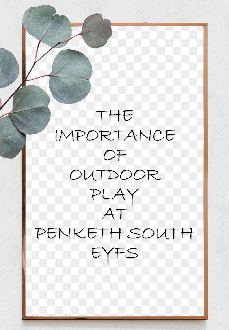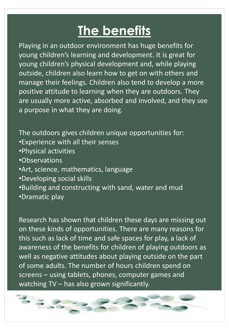## **The benefits**

Playing in an outdoor environment has huge benefits for young children's learning and development. It is great for young children's physical development and, while playing outside, children also learn how to get on with others and manage their feelings. Children also tend to develop a more positive attitude to learning when they are outdoors. They are usually more active, absorbed and involved, and they see a purpose in what they are doing.

The outdoors gives children unique opportunities for: •Experience with all their senses •Physical activities •Observations •Art, science, mathematics, language •Developing social skills •Building and constructing with sand, water and mud •Dramatic play

Research has shown that children these days are missing out on these kinds of opportunities. There are many reasons for this such as lack of time and safe spaces for play, a lack of awareness of the benefits for children of playing outdoors as well as negative attitudes about playing outside on the part of some adults. The number of hours children spend on screens – using tablets, phones, computer games and watching TV – has also grown significantly.

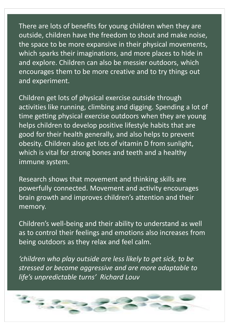There are lots of benefits for young children when they are outside, children have the freedom to shout and make noise, the space to be more expansive in their physical movements, which sparks their imaginations, and more places to hide in and explore. Children can also be messier outdoors, which encourages them to be more creative and to try things out and experiment.

Children get lots of physical exercise outside through activities like running, climbing and digging. Spending a lot of time getting physical exercise outdoors when they are young helps children to develop positive lifestyle habits that are good for their health generally, and also helps to prevent obesity. Children also get lots of vitamin D from sunlight, which is vital for strong bones and teeth and a healthy immune system.

Research shows that movement and thinking skills are powerfully connected. Movement and activity encourages brain growth and improves children's attention and their memory.

Children's well-being and their ability to understand as well as to control their feelings and emotions also increases from being outdoors as they relax and feel calm.

*'children who play outside are less likely to get sick, to be stressed or become aggressive and are more adaptable to life's unpredictable turns' Richard Louv*

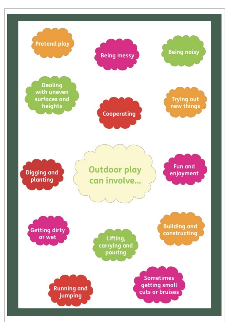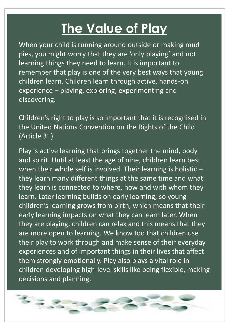## **The Value of Play**

When your child is running around outside or making mud pies, you might worry that they are 'only playing' and not learning things they need to learn. It is important to remember that play is one of the very best ways that young children learn. Children learn through active, hands-on experience – playing, exploring, experimenting and discovering.

Children's right to play is so important that it is recognised in the United Nations Convention on the Rights of the Child (Article 31).

Play is active learning that brings together the mind, body and spirit. Until at least the age of nine, children learn best when their whole self is involved. Their learning is holistic  $$ they learn many different things at the same time and what they learn is connected to where, how and with whom they learn. Later learning builds on early learning, so young children's learning grows from birth, which means that their early learning impacts on what they can learn later. When they are playing, children can relax and this means that they are more open to learning. We know too that children use their play to work through and make sense of their everyday experiences and of important things in their lives that affect them strongly emotionally. Play also plays a vital role in children developing high-level skills like being flexible, making decisions and planning.

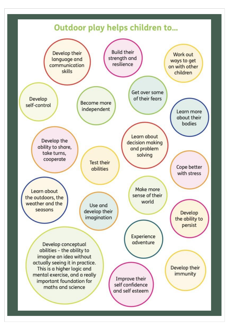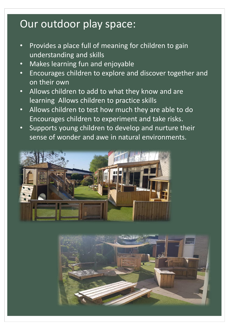## Our outdoor play space:

- Provides a place full of meaning for children to gain understanding and skills
- Makes learning fun and enjoyable
- Encourages children to explore and discover together and on their own
- Allows children to add to what they know and are learning Allows children to practice skills
- Allows children to test how much they are able to do Encourages children to experiment and take risks.
- Supports young children to develop and nurture their sense of wonder and awe in natural environments.